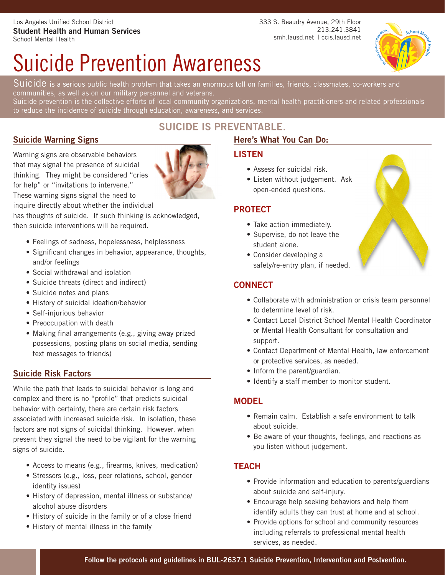333 S. Beaudry Avenue, 29th Floor 213.241.3841 smh.lausd.net | ccis.lausd.net

# Suicide Prevention Awareness



Suicide is a serious public health problem that takes an enormous toll on families, friends, classmates, co-workers and communities, as well as on our military personnel and veterans.

Suicide prevention is the collective efforts of local community organizations, mental health practitioners and related professionals to reduce the incidence of suicide through education, awareness, and services.

# **Suicide Warning Signs**

Warning signs are observable behaviors that may signal the presence of suicidal thinking. They might be considered "cries for help" or "invitations to intervene." These warning signs signal the need to

inquire directly about whether the individual

has thoughts of suicide. If such thinking is acknowledged, then suicide interventions will be required.

- Feelings of sadness, hopelessness, helplessness
- Significant changes in behavior, appearance, thoughts, and/or feelings
- Social withdrawal and isolation
- Suicide threats (direct and indirect)
- Suicide notes and plans
- History of suicidal ideation/behavior
- Self-injurious behavior
- Preoccupation with death
- Making final arrangements (e.g., giving away prized possessions, posting plans on social media, sending text messages to friends)

# **Suicide Risk Factors**

While the path that leads to suicidal behavior is long and complex and there is no "profile" that predicts suicidal behavior with certainty, there are certain risk factors associated with increased suicide risk. In isolation, these factors are not signs of suicidal thinking. However, when present they signal the need to be vigilant for the warning signs of suicide.

- Access to means (e.g., firearms, knives, medication)
- Stressors (e.g., loss, peer relations, school, gender identity issues)
- History of depression, mental illness or substance/ alcohol abuse disorders
- History of suicide in the family or of a close friend
- History of mental illness in the family

# **SUICIDE IS PREVENTABLE**.

# **Here's What You Can Do:**

# **LISTEN**

- Assess for suicidal risk.
- Listen without judgement. Ask open-ended questions.

# **PROTECT**

- Take action immediately.
- Supervise, do not leave the student alone.
- Consider developing a safety/re-entry plan, if needed.

# **CONNECT**

- Collaborate with administration or crisis team personnel to determine level of risk.
- Contact Local District School Mental Health Coordinator or Mental Health Consultant for consultation and support.
- Contact Department of Mental Health, law enforcement or protective services, as needed.
- Inform the parent/guardian.
- Identify a staff member to monitor student.

# **MODEL**

- Remain calm. Establish a safe environment to talk about suicide.
- Be aware of your thoughts, feelings, and reactions as you listen without judgement.

# **TEACH**

- Provide information and education to parents/guardians about suicide and self-injury.
- Encourage help seeking behaviors and help them identify adults they can trust at home and at school.
- Provide options for school and community resources including referrals to professional mental health services, as needed.